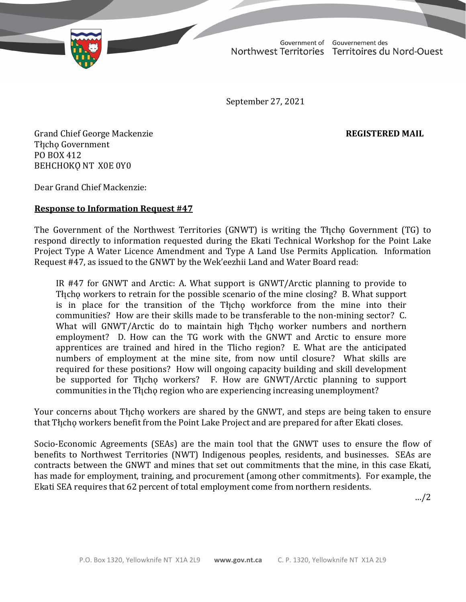Government of Gouvernement des Northwest Territories Territoires du Nord-Ouest

September 27, 2021

Grand Chief George Mackenzie **REGISTERED MAIL** Tłıcho Government PO BOX 412 BEHCHOKO NT X0E 0Y0

Dear Grand Chief Mackenzie:

## **Response to Information Request #47**

The Government of the Northwest Territories (GNWT) is writing the Tłįchę Government (TG) to respond directly to information requested during the Ekati Technical Workshop for the Point Lake Project Type A Water Licence Amendment and Type A Land Use Permits Application. Information Request #47, as issued to the GNWT by the Wek'eezhii Land and Water Board read:

IR #47 for GNWT and Arctic: A. What support is GNWT/Arctic planning to provide to The ho workers to retrain for the possible scenario of the mine closing? B. What support is in place for the transition of the Tłįcho workforce from the mine into their communities? How are their skills made to be transferable to the non-mining sector? C. What will GNWT/Arctic do to maintain high Tłįcho worker numbers and northern employment? D. How can the TG work with the GNWT and Arctic to ensure more apprentices are trained and hired in the Tlicho region? E. What are the anticipated numbers of employment at the mine site, from now until closure? What skills are required for these positions? How will ongoing capacity building and skill development be supported for The how workers? F. How are GNWT/Arctic planning to support communities in the Thicho region who are experiencing increasing unemployment?

Your concerns about Thcho workers are shared by the GNWT, and steps are being taken to ensure that Tłįcho workers benefit from the Point Lake Project and are prepared for after Ekati closes.

Socio-Economic Agreements (SEAs) are the main tool that the GNWT uses to ensure the flow of benefits to Northwest Territories (NWT) Indigenous peoples, residents, and businesses. SEAs are contracts between the GNWT and mines that set out commitments that the mine, in this case Ekati, has made for employment, training, and procurement (among other commitments). For example, the Ekati SEA requires that 62 percent of total employment come from northern residents.

…/2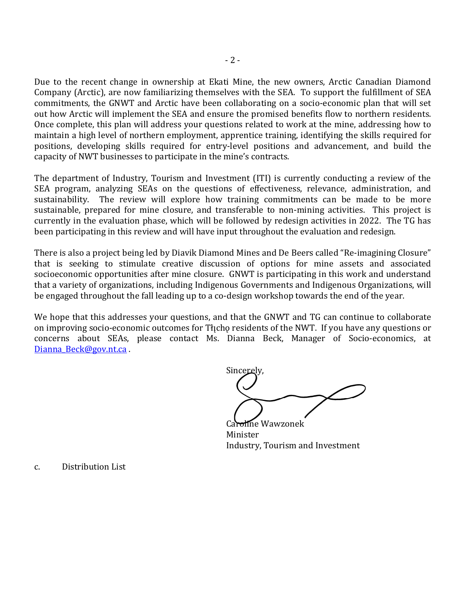Due to the recent change in ownership at Ekati Mine, the new owners, Arctic Canadian Diamond Company (Arctic), are now familiarizing themselves with the SEA. To support the fulfillment of SEA commitments, the GNWT and Arctic have been collaborating on a socio-economic plan that will set out how Arctic will implement the SEA and ensure the promised benefits flow to northern residents. Once complete, this plan will address your questions related to work at the mine, addressing how to maintain a high level of northern employment, apprentice training, identifying the skills required for positions, developing skills required for entry-level positions and advancement, and build the capacity of NWT businesses to participate in the mine's contracts.

The department of Industry, Tourism and Investment (ITI) is currently conducting a review of the SEA program, analyzing SEAs on the questions of effectiveness, relevance, administration, and sustainability. The review will explore how training commitments can be made to be more sustainable, prepared for mine closure, and transferable to non-mining activities. This project is currently in the evaluation phase, which will be followed by redesign activities in 2022. The TG has been participating in this review and will have input throughout the evaluation and redesign.

There is also a project being led by Diavik Diamond Mines and De Beers called "Re-imagining Closure" that is seeking to stimulate creative discussion of options for mine assets and associated socioeconomic opportunities after mine closure. GNWT is participating in this work and understand that a variety of organizations, including Indigenous Governments and Indigenous Organizations, will be engaged throughout the fall leading up to a co-design workshop towards the end of the year.

We hope that this addresses your questions, and that the GNWT and TG can continue to collaborate on improving socio-economic outcomes for The residents of the NWT. If you have any questions or concerns about SEAs, please contact Ms. Dianna Beck, Manager of Socio-economics, at Dianna Beck@gov.nt.ca .

Sincerely,

**Hne Wawzonek** Minister Industry, Tourism and Investment

c. Distribution List